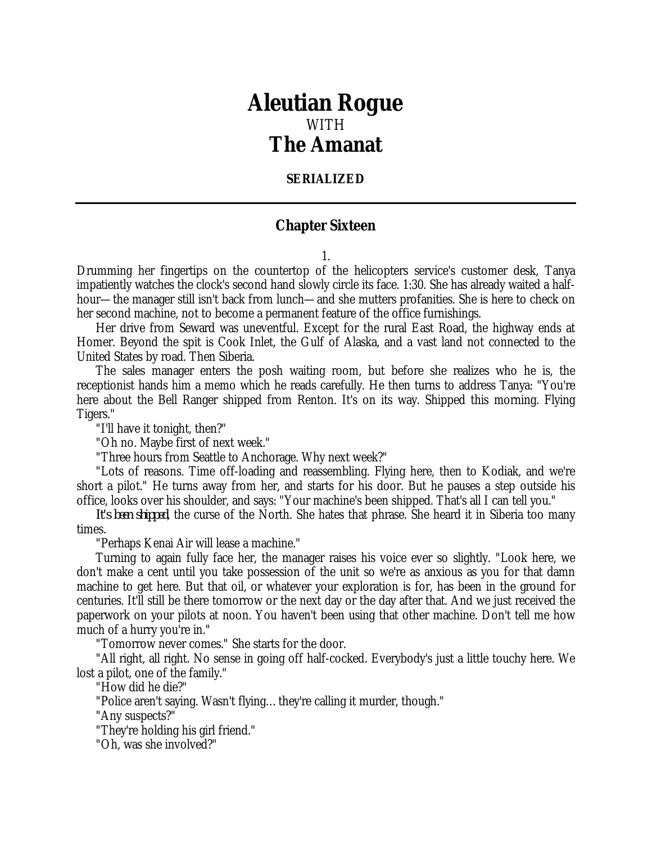## *Aleutian Rogue* WITH *The Amanat*

## **SERIALIZED**

## **Chapter Sixteen**

1.

Drumming her fingertips on the countertop of the helicopters service's customer desk, Tanya impatiently watches the clock's second hand slowly circle its face. 1:30. She has already waited a halfhour—the manager still isn't back from lunch—and she mutters profanities. She is here to check on her second machine, not to become a permanent feature of the office furnishings.

Her drive from Seward was uneventful. Except for the rural East Road, the highway ends at Homer. Beyond the spit is Cook Inlet, the Gulf of Alaska, and a vast land not connected to the United States by road. Then Siberia.

The sales manager enters the posh waiting room, but before she realizes who he is, the receptionist hands him a memo which he reads carefully. He then turns to address Tanya: "You're here about the Bell Ranger shipped from Renton. It's on its way. Shipped this morning. Flying Tigers."

"I'll have it tonight, then?"

"Oh no. Maybe first of next week."

"Three hours from Seattle to Anchorage. Why next week?"

"Lots of reasons. Time off-loading and reassembling. Flying here, then to Kodiak, and we're short a pilot." He turns away from her, and starts for his door. But he pauses a step outside his office, looks over his shoulder, and says: "Your machine's been shipped. That's all I can tell you."

*It's been shipped*, the curse of the North. She hates that phrase. She heard it in Siberia too many times.

"Perhaps Kenai Air will lease a machine."

Turning to again fully face her, the manager raises his voice ever so slightly. "Look here, we don't make a cent until you take possession of the unit so we're as anxious as you for that damn machine to get here. But that oil, or whatever your exploration is for, has been in the ground for centuries. It'll still be there tomorrow or the next day or the day after that. And we just received the paperwork on your pilots at noon. You haven't been using that other machine. Don't tell me how much of a hurry you're in."

"Tomorrow never comes." She starts for the door.

"All right, all right. No sense in going off half-cocked. Everybody's just a little touchy here. We lost a pilot, one of the family."

"How did he die?"

"Police aren't saying. Wasn't flying…they're calling it murder, though."

"Any suspects?"

"They're holding his girl friend."

"Oh, was she involved?"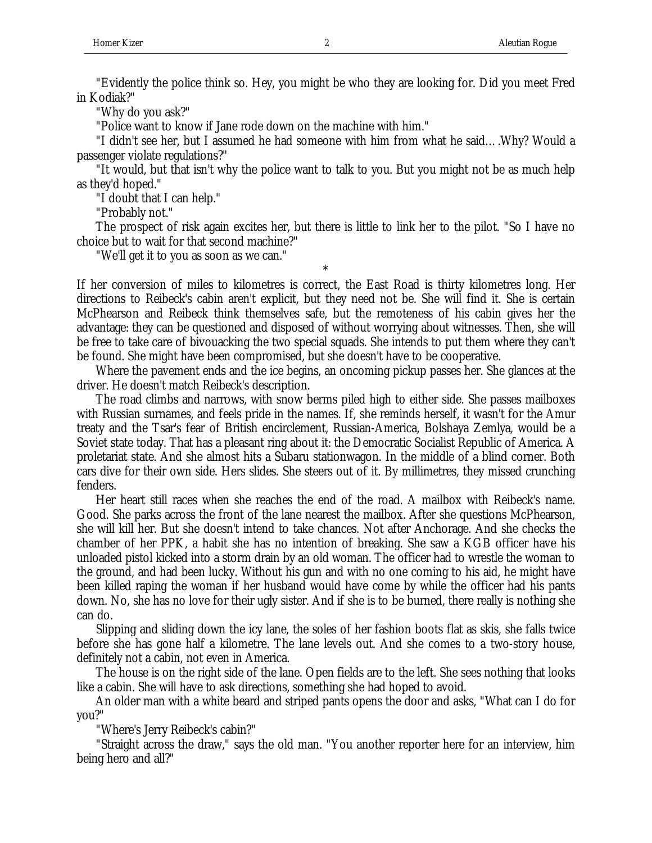"Evidently the police think so. Hey, you might be who they are looking for. Did you meet Fred in Kodiak?"

"Why do you ask?"

"Police want to know if Jane rode down on the machine with him."

"I didn't see her, but I assumed he had someone with him from what he said….Why? Would a passenger violate regulations?"

"It would, but that isn't why the police want to talk to you. But you might not be as much help as they'd hoped."

"I doubt that I can help."

"Probably not."

The prospect of risk again excites her, but there is little to link her to the pilot. "So I have no choice but to wait for that second machine?"

"We'll get it to you as soon as we can."

\* If her conversion of miles to kilometres is correct, the East Road is thirty kilometres long. Her directions to Reibeck's cabin aren't explicit, but they need not be. She will find it. She is certain McPhearson and Reibeck think themselves safe, but the remoteness of his cabin gives her the advantage: they can be questioned and disposed of without worrying about witnesses. Then, she will be free to take care of bivouacking the two special squads. She intends to put them where they can't be found. She might have been compromised, but she doesn't have to be cooperative.

Where the pavement ends and the ice begins, an oncoming pickup passes her. She glances at the driver. He doesn't match Reibeck's description.

The road climbs and narrows, with snow berms piled high to either side. She passes mailboxes with Russian surnames, and feels pride in the names. If, she reminds herself, it wasn't for the Amur treaty and the Tsar's fear of British encirclement, Russian-America, Bolshaya Zemlya, would be a Soviet state today. That has a pleasant ring about it: the Democratic Socialist Republic of America. A proletariat state. And she almost hits a Subaru stationwagon. In the middle of a blind corner. Both cars dive for their own side. Hers slides. She steers out of it. By millimetres, they missed crunching fenders.

Her heart still races when she reaches the end of the road. A mailbox with Reibeck's name. Good. She parks across the front of the lane nearest the mailbox. After she questions McPhearson, she will kill her. But she doesn't intend to take chances. Not after Anchorage. And she checks the chamber of her PPK, a habit she has no intention of breaking. She saw a KGB officer have his unloaded pistol kicked into a storm drain by an old woman. The officer had to wrestle the woman to the ground, and had been lucky. Without his gun and with no one coming to his aid, he might have been killed raping the woman if her husband would have come by while the officer had his pants down. No, she has no love for their ugly sister. And if she is to be burned, there really is nothing she can do.

Slipping and sliding down the icy lane, the soles of her fashion boots flat as skis, she falls twice before she has gone half a kilometre. The lane levels out. And she comes to a two-story house, definitely not a cabin, not even in America.

The house is on the right side of the lane. Open fields are to the left. She sees nothing that looks like a cabin. She will have to ask directions, something she had hoped to avoid.

An older man with a white beard and striped pants opens the door and asks, "What can I do for you?"

"Where's Jerry Reibeck's cabin?"

"Straight across the draw," says the old man. "You another reporter here for an interview, him being hero and all?"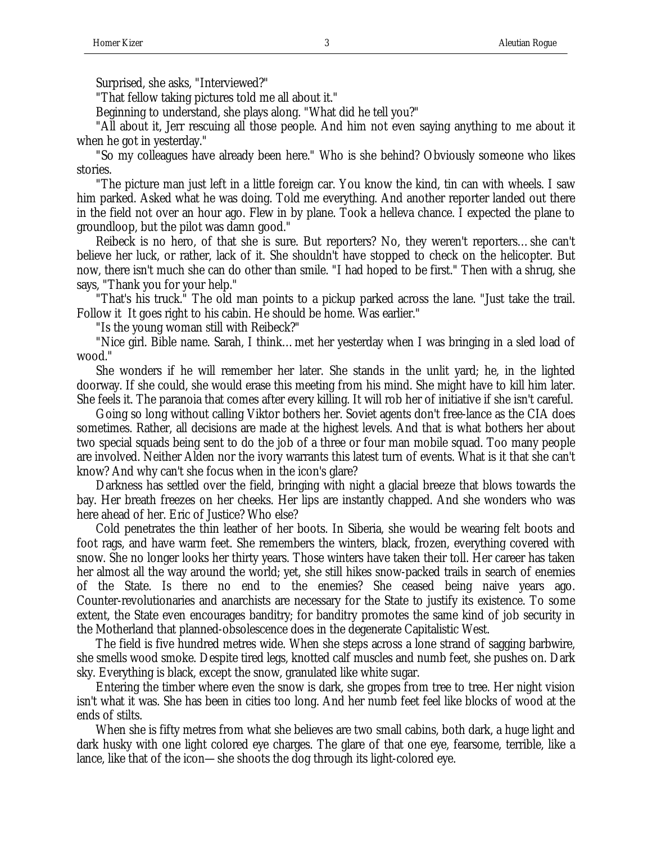Surprised, she asks, "Interviewed?"

"That fellow taking pictures told me all about it."

Beginning to understand, she plays along. "What did he tell you?"

"All about it, Jerr rescuing all those people. And him not even saying anything to me about it when he got in yesterday."

"So my colleagues have already been here." Who is she behind? Obviously someone who likes stories.

"The picture man just left in a little foreign car. You know the kind, tin can with wheels. I saw him parked. Asked what he was doing. Told me everything. And another reporter landed out there in the field not over an hour ago. Flew in by plane. Took a helleva chance. I expected the plane to groundloop, but the pilot was damn good."

Reibeck is no hero, of that she is sure. But reporters? No, they weren't reporters…she can't believe her luck, or rather, lack of it. She shouldn't have stopped to check on the helicopter. But now, there isn't much she can do other than smile. "I had hoped to be first." Then with a shrug, she says, "Thank you for your help."

"That's his truck." The old man points to a pickup parked across the lane. "Just take the trail. Follow it It goes right to his cabin. He should be home. Was earlier."

"Is the young woman still with Reibeck?"

"Nice girl. Bible name. Sarah, I think…met her yesterday when I was bringing in a sled load of wood."

She wonders if he will remember her later. She stands in the unlit yard; he, in the lighted doorway. If she could, she would erase this meeting from his mind. She might have to kill him later. She feels it. The paranoia that comes after every killing. It will rob her of initiative if she isn't careful.

Going so long without calling Viktor bothers her. Soviet agents don't free-lance as the CIA does sometimes. Rather, all decisions are made at the highest levels. And that is what bothers her about two special squads being sent to do the job of a three or four man mobile squad. Too many people are involved. Neither Alden nor the ivory warrants this latest turn of events. What is it that she can't know? And why can't she focus when in the icon's glare?

Darkness has settled over the field, bringing with night a glacial breeze that blows towards the bay. Her breath freezes on her cheeks. Her lips are instantly chapped. And she wonders who was here ahead of her. Eric of Justice? Who else?

Cold penetrates the thin leather of her boots. In Siberia, she would be wearing felt boots and foot rags, and have warm feet. She remembers the winters, black, frozen, everything covered with snow. She no longer looks her thirty years. Those winters have taken their toll. Her career has taken her almost all the way around the world; yet, she still hikes snow-packed trails in search of enemies of the State. Is there no end to the enemies? She ceased being naive years ago. Counter-revolutionaries and anarchists are necessary for the State to justify its existence. To some extent, the State even encourages banditry; for banditry promotes the same kind of job security in the Motherland that planned-obsolescence does in the degenerate Capitalistic West.

The field is five hundred metres wide. When she steps across a lone strand of sagging barbwire, she smells wood smoke. Despite tired legs, knotted calf muscles and numb feet, she pushes on. Dark sky. Everything is black, except the snow, granulated like white sugar.

Entering the timber where even the snow is dark, she gropes from tree to tree. Her night vision isn't what it was. She has been in cities too long. And her numb feet feel like blocks of wood at the ends of stilts.

When she is fifty metres from what she believes are two small cabins, both dark, a huge light and dark husky with one light colored eye charges. The glare of that one eye, fearsome, terrible, like a lance, like that of the icon—she shoots the dog through its light-colored eye.